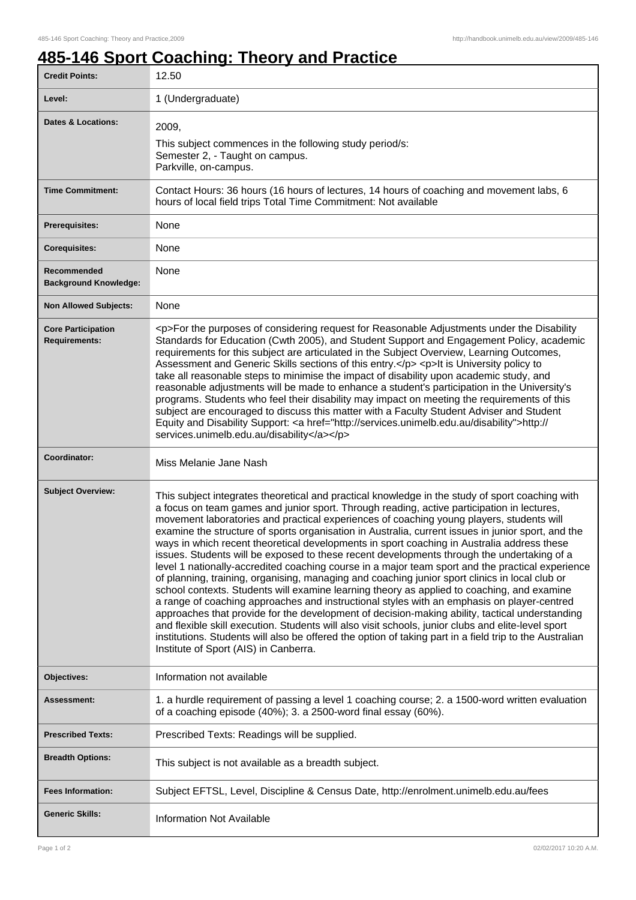## **485-146 Sport Coaching: Theory and Practice**

| <b>Credit Points:</b>                             | 12.50                                                                                                                                                                                                                                                                                                                                                                                                                                                                                                                                                                                                                                                                                                                                                                                                                                                                                                                                                                                                                                                                                                                                                                                                                                                                                                                                                     |
|---------------------------------------------------|-----------------------------------------------------------------------------------------------------------------------------------------------------------------------------------------------------------------------------------------------------------------------------------------------------------------------------------------------------------------------------------------------------------------------------------------------------------------------------------------------------------------------------------------------------------------------------------------------------------------------------------------------------------------------------------------------------------------------------------------------------------------------------------------------------------------------------------------------------------------------------------------------------------------------------------------------------------------------------------------------------------------------------------------------------------------------------------------------------------------------------------------------------------------------------------------------------------------------------------------------------------------------------------------------------------------------------------------------------------|
| Level:                                            | 1 (Undergraduate)                                                                                                                                                                                                                                                                                                                                                                                                                                                                                                                                                                                                                                                                                                                                                                                                                                                                                                                                                                                                                                                                                                                                                                                                                                                                                                                                         |
| <b>Dates &amp; Locations:</b>                     | 2009,<br>This subject commences in the following study period/s:<br>Semester 2, - Taught on campus.<br>Parkville, on-campus.                                                                                                                                                                                                                                                                                                                                                                                                                                                                                                                                                                                                                                                                                                                                                                                                                                                                                                                                                                                                                                                                                                                                                                                                                              |
| <b>Time Commitment:</b>                           | Contact Hours: 36 hours (16 hours of lectures, 14 hours of coaching and movement labs, 6<br>hours of local field trips Total Time Commitment: Not available                                                                                                                                                                                                                                                                                                                                                                                                                                                                                                                                                                                                                                                                                                                                                                                                                                                                                                                                                                                                                                                                                                                                                                                               |
| <b>Prerequisites:</b>                             | None                                                                                                                                                                                                                                                                                                                                                                                                                                                                                                                                                                                                                                                                                                                                                                                                                                                                                                                                                                                                                                                                                                                                                                                                                                                                                                                                                      |
| <b>Corequisites:</b>                              | None                                                                                                                                                                                                                                                                                                                                                                                                                                                                                                                                                                                                                                                                                                                                                                                                                                                                                                                                                                                                                                                                                                                                                                                                                                                                                                                                                      |
| Recommended<br><b>Background Knowledge:</b>       | None                                                                                                                                                                                                                                                                                                                                                                                                                                                                                                                                                                                                                                                                                                                                                                                                                                                                                                                                                                                                                                                                                                                                                                                                                                                                                                                                                      |
| <b>Non Allowed Subjects:</b>                      | None                                                                                                                                                                                                                                                                                                                                                                                                                                                                                                                                                                                                                                                                                                                                                                                                                                                                                                                                                                                                                                                                                                                                                                                                                                                                                                                                                      |
| <b>Core Participation</b><br><b>Requirements:</b> | <p>For the purposes of considering request for Reasonable Adjustments under the Disability<br/>Standards for Education (Cwth 2005), and Student Support and Engagement Policy, academic<br/>requirements for this subject are articulated in the Subject Overview, Learning Outcomes,<br/>Assessment and Generic Skills sections of this entry.</p> <p>It is University policy to<br/>take all reasonable steps to minimise the impact of disability upon academic study, and<br/>reasonable adjustments will be made to enhance a student's participation in the University's<br/>programs. Students who feel their disability may impact on meeting the requirements of this<br/>subject are encouraged to discuss this matter with a Faculty Student Adviser and Student<br/>Equity and Disability Support: &lt; a href="http://services.unimelb.edu.au/disability"&gt;http://<br/>services.unimelb.edu.au/disability</p>                                                                                                                                                                                                                                                                                                                                                                                                                              |
| Coordinator:                                      | Miss Melanie Jane Nash                                                                                                                                                                                                                                                                                                                                                                                                                                                                                                                                                                                                                                                                                                                                                                                                                                                                                                                                                                                                                                                                                                                                                                                                                                                                                                                                    |
| <b>Subject Overview:</b>                          | This subject integrates theoretical and practical knowledge in the study of sport coaching with<br>a focus on team games and junior sport. Through reading, active participation in lectures,<br>movement laboratories and practical experiences of coaching young players, students will<br>examine the structure of sports organisation in Australia, current issues in junior sport, and the<br>ways in which recent theoretical developments in sport coaching in Australia address these<br>issues. Students will be exposed to these recent developments through the undertaking of a<br>level 1 nationally-accredited coaching course in a major team sport and the practical experience<br>of planning, training, organising, managing and coaching junior sport clinics in local club or<br>school contexts. Students will examine learning theory as applied to coaching, and examine<br>a range of coaching approaches and instructional styles with an emphasis on player-centred<br>approaches that provide for the development of decision-making ability, tactical understanding<br>and flexible skill execution. Students will also visit schools, junior clubs and elite-level sport<br>institutions. Students will also be offered the option of taking part in a field trip to the Australian<br>Institute of Sport (AIS) in Canberra. |
| <b>Objectives:</b>                                | Information not available                                                                                                                                                                                                                                                                                                                                                                                                                                                                                                                                                                                                                                                                                                                                                                                                                                                                                                                                                                                                                                                                                                                                                                                                                                                                                                                                 |
| Assessment:                                       | 1. a hurdle requirement of passing a level 1 coaching course; 2. a 1500-word written evaluation<br>of a coaching episode (40%); 3. a 2500-word final essay (60%).                                                                                                                                                                                                                                                                                                                                                                                                                                                                                                                                                                                                                                                                                                                                                                                                                                                                                                                                                                                                                                                                                                                                                                                         |
| <b>Prescribed Texts:</b>                          | Prescribed Texts: Readings will be supplied.                                                                                                                                                                                                                                                                                                                                                                                                                                                                                                                                                                                                                                                                                                                                                                                                                                                                                                                                                                                                                                                                                                                                                                                                                                                                                                              |
| <b>Breadth Options:</b>                           | This subject is not available as a breadth subject.                                                                                                                                                                                                                                                                                                                                                                                                                                                                                                                                                                                                                                                                                                                                                                                                                                                                                                                                                                                                                                                                                                                                                                                                                                                                                                       |
| <b>Fees Information:</b>                          | Subject EFTSL, Level, Discipline & Census Date, http://enrolment.unimelb.edu.au/fees                                                                                                                                                                                                                                                                                                                                                                                                                                                                                                                                                                                                                                                                                                                                                                                                                                                                                                                                                                                                                                                                                                                                                                                                                                                                      |
| <b>Generic Skills:</b>                            | <b>Information Not Available</b>                                                                                                                                                                                                                                                                                                                                                                                                                                                                                                                                                                                                                                                                                                                                                                                                                                                                                                                                                                                                                                                                                                                                                                                                                                                                                                                          |